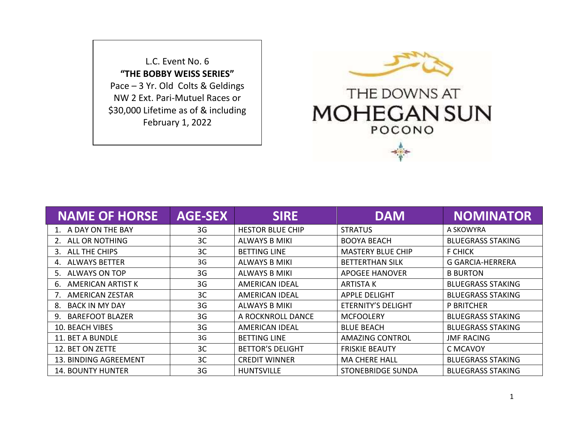L.C. Event No. 6 **"THE BOBBY WEISS SERIES"** Pace – 3 Yr. Old Colts & Geldings NW 2 Ext. Pari-Mutuel Races or \$30,000 Lifetime as of & including February 1, 2022



| <b>NAME OF HORSE</b>        | <b>AGE-SEX</b> | <b>SIRE</b>             | <b>DAM</b>                | <b>NOMINATOR</b>         |
|-----------------------------|----------------|-------------------------|---------------------------|--------------------------|
| 1. A DAY ON THE BAY         | 3G             | <b>HESTOR BLUE CHIP</b> | <b>STRATUS</b>            | A SKOWYRA                |
| 2. ALL OR NOTHING           | 3C             | <b>ALWAYS B MIKI</b>    | <b>BOOYA BEACH</b>        | <b>BLUEGRASS STAKING</b> |
| 3. ALL THE CHIPS            | 3 <sup>C</sup> | <b>BETTING LINE</b>     | <b>MASTERY BLUE CHIP</b>  | <b>F CHICK</b>           |
| 4. ALWAYS BETTER            | 3G             | <b>ALWAYS B MIKI</b>    | <b>BETTERTHAN SILK</b>    | <b>G GARCIA-HERRERA</b>  |
| 5. ALWAYS ON TOP            | 3G             | <b>ALWAYS B MIKI</b>    | <b>APOGEE HANOVER</b>     | <b>B BURTON</b>          |
| 6. AMERICAN ARTIST K        | 3G             | AMERICAN IDEAL          | ARTISTA K                 | <b>BLUEGRASS STAKING</b> |
| 7. AMERICAN ZESTAR          | 3C             | AMERICAN IDEAL          | <b>APPLE DELIGHT</b>      | <b>BLUEGRASS STAKING</b> |
| <b>BACK IN MY DAY</b><br>8. | 3G             | ALWAYS B MIKI           | <b>ETERNITY'S DELIGHT</b> | P BRITCHER               |
| 9. BAREFOOT BLAZER          | 3G             | A ROCKNROLL DANCE       | <b>MCFOOLERY</b>          | <b>BLUEGRASS STAKING</b> |
| <b>10. BEACH VIBES</b>      | 3G             | <b>AMERICAN IDEAL</b>   | <b>BLUE BEACH</b>         | <b>BLUEGRASS STAKING</b> |
| 11. BET A BUNDLE            | 3G             | <b>BETTING LINE</b>     | <b>AMAZING CONTROL</b>    | <b>JMF RACING</b>        |
| 12. BET ON ZETTE            | 3C             | <b>BETTOR'S DELIGHT</b> | <b>FRISKIE BEAUTY</b>     | C MCAVOY                 |
| 13. BINDING AGREEMENT       | 3C             | <b>CREDIT WINNER</b>    | <b>MA CHERE HALL</b>      | <b>BLUEGRASS STAKING</b> |
| <b>14. BOUNTY HUNTER</b>    | 3G             | <b>HUNTSVILLE</b>       | <b>STONEBRIDGE SUNDA</b>  | <b>BLUEGRASS STAKING</b> |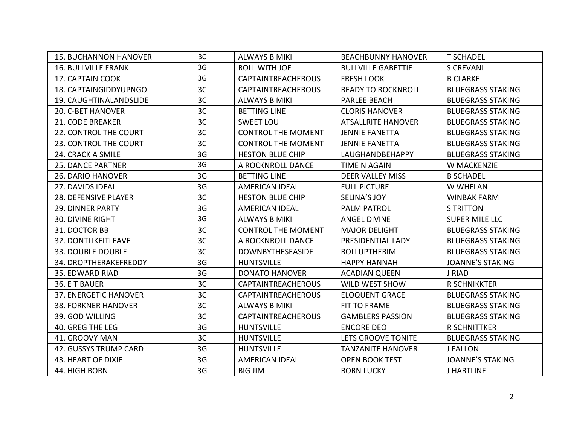| <b>15. BUCHANNON HANOVER</b> | 3C | <b>ALWAYS B MIKI</b>      | <b>BEACHBUNNY HANOVER</b> | <b>T SCHADEL</b>         |
|------------------------------|----|---------------------------|---------------------------|--------------------------|
| <b>16. BULLVILLE FRANK</b>   | 3G | ROLL WITH JOE             | <b>BULLVILLE GABETTIE</b> | <b>S CREVANI</b>         |
| 17. CAPTAIN COOK             | 3G | <b>CAPTAINTREACHEROUS</b> | <b>FRESH LOOK</b>         | <b>B CLARKE</b>          |
| 18. CAPTAINGIDDYUPNGO        | 3C | <b>CAPTAINTREACHEROUS</b> | <b>READY TO ROCKNROLL</b> | <b>BLUEGRASS STAKING</b> |
| 19. CAUGHTINALANDSLIDE       | 3C | <b>ALWAYS B MIKI</b>      | <b>PARLEE BEACH</b>       | <b>BLUEGRASS STAKING</b> |
| 20. C-BET HANOVER            | 3C | <b>BETTING LINE</b>       | <b>CLORIS HANOVER</b>     | <b>BLUEGRASS STAKING</b> |
| 21. CODE BREAKER             | 3C | <b>SWEET LOU</b>          | <b>ATSALLRITE HANOVER</b> | <b>BLUEGRASS STAKING</b> |
| 22. CONTROL THE COURT        | 3C | <b>CONTROL THE MOMENT</b> | <b>JENNIE FANETTA</b>     | <b>BLUEGRASS STAKING</b> |
| 23. CONTROL THE COURT        | 3C | <b>CONTROL THE MOMENT</b> | <b>JENNIE FANETTA</b>     | <b>BLUEGRASS STAKING</b> |
| 24. CRACK A SMILE            | 3G | <b>HESTON BLUE CHIP</b>   | LAUGHANDBEHAPPY           | <b>BLUEGRASS STAKING</b> |
| <b>25. DANCE PARTNER</b>     | 3G | A ROCKNROLL DANCE         | TIME N AGAIN              | W MACKENZIE              |
| <b>26. DARIO HANOVER</b>     | 3G | <b>BETTING LINE</b>       | <b>DEER VALLEY MISS</b>   | <b>B SCHADEL</b>         |
| 27. DAVIDS IDEAL             | 3G | <b>AMERICAN IDEAL</b>     | <b>FULL PICTURE</b>       | W WHELAN                 |
| 28. DEFENSIVE PLAYER         | 3C | <b>HESTON BLUE CHIP</b>   | <b>SELINA'S JOY</b>       | <b>WINBAK FARM</b>       |
| <b>29. DINNER PARTY</b>      | 3G | <b>AMERICAN IDEAL</b>     | <b>PALM PATROL</b>        | <b>S TRITTON</b>         |
| <b>30. DIVINE RIGHT</b>      | 3G | <b>ALWAYS B MIKI</b>      | <b>ANGEL DIVINE</b>       | <b>SUPER MILE LLC</b>    |
| 31. DOCTOR BB                | 3C | <b>CONTROL THE MOMENT</b> | <b>MAJOR DELIGHT</b>      | <b>BLUEGRASS STAKING</b> |
| 32. DONTLIKEITLEAVE          | 3C | A ROCKNROLL DANCE         | PRESIDENTIAL LADY         | <b>BLUEGRASS STAKING</b> |
| 33. DOUBLE DOUBLE            | 3C | <b>DOWNBYTHESEASIDE</b>   | <b>ROLLUPTHERIM</b>       | <b>BLUEGRASS STAKING</b> |
| 34. DROPTHERAKEFREDDY        | 3G | <b>HUNTSVILLE</b>         | <b>HAPPY HANNAH</b>       | <b>JOANNE'S STAKING</b>  |
| 35. EDWARD RIAD              | 3G | <b>DONATO HANOVER</b>     | <b>ACADIAN QUEEN</b>      | J RIAD                   |
| 36. E T BAUER                | 3C | CAPTAINTREACHEROUS        | WILD WEST SHOW            | <b>R SCHNIKKTER</b>      |
| 37. ENERGETIC HANOVER        | 3C | <b>CAPTAINTREACHEROUS</b> | <b>ELOQUENT GRACE</b>     | <b>BLUEGRASS STAKING</b> |
| <b>38. FORKNER HANOVER</b>   | 3C | <b>ALWAYS B MIKI</b>      | FIT TO FRAME              | <b>BLUEGRASS STAKING</b> |
| 39. GOD WILLING              | 3C | <b>CAPTAINTREACHEROUS</b> | <b>GAMBLERS PASSION</b>   | <b>BLUEGRASS STAKING</b> |
| 40. GREG THE LEG             | 3G | <b>HUNTSVILLE</b>         | <b>ENCORE DEO</b>         | R SCHNITTKER             |
| 41. GROOVY MAN               | 3C | <b>HUNTSVILLE</b>         | LETS GROOVE TONITE        | <b>BLUEGRASS STAKING</b> |
| <b>42. GUSSYS TRUMP CARD</b> | 3G | <b>HUNTSVILLE</b>         | <b>TANZANITE HANOVER</b>  | <b>J FALLON</b>          |
| 43. HEART OF DIXIE           | 3G | <b>AMERICAN IDEAL</b>     | <b>OPEN BOOK TEST</b>     | <b>JOANNE'S STAKING</b>  |
| 44. HIGH BORN                | 3G | <b>BIG JIM</b>            | <b>BORN LUCKY</b>         | J HARTLINE               |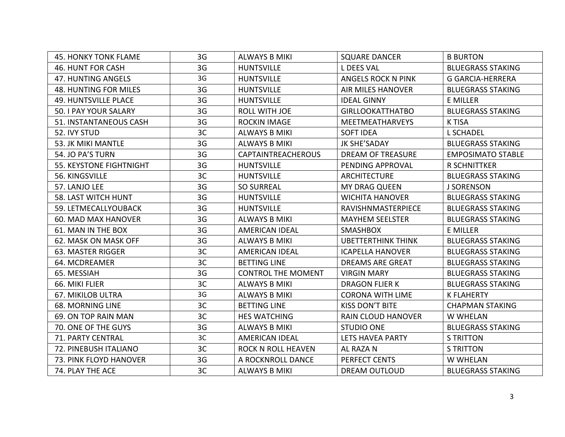| <b>45. HONKY TONK FLAME</b>  | 3G | <b>ALWAYS B MIKI</b>      | <b>SQUARE DANCER</b>      | <b>B BURTON</b>          |
|------------------------------|----|---------------------------|---------------------------|--------------------------|
| <b>46. HUNT FOR CASH</b>     | 3G | <b>HUNTSVILLE</b>         | L DEES VAL                | <b>BLUEGRASS STAKING</b> |
| 47. HUNTING ANGELS           | 3G | <b>HUNTSVILLE</b>         | ANGELS ROCK N PINK        | <b>G GARCIA-HERRERA</b>  |
| <b>48. HUNTING FOR MILES</b> | 3G | <b>HUNTSVILLE</b>         | <b>AIR MILES HANOVER</b>  | <b>BLUEGRASS STAKING</b> |
| <b>49. HUNTSVILLE PLACE</b>  | 3G | <b>HUNTSVILLE</b>         | <b>IDEAL GINNY</b>        | E MILLER                 |
| 50. I PAY YOUR SALARY        | 3G | <b>ROLL WITH JOE</b>      | <b>GIRLLOOKATTHATBO</b>   | <b>BLUEGRASS STAKING</b> |
| 51. INSTANTANEOUS CASH       | 3G | <b>ROCKIN IMAGE</b>       | <b>MEETMEATHARVEYS</b>    | <b>K TISA</b>            |
| 52. IVY STUD                 | 3C | <b>ALWAYS B MIKI</b>      | <b>SOFT IDEA</b>          | <b>L SCHADEL</b>         |
| 53. JK MIKI MANTLE           | 3G | <b>ALWAYS B MIKI</b>      | <b>JK SHE'SADAY</b>       | <b>BLUEGRASS STAKING</b> |
| 54. JO PA'S TURN             | 3G | <b>CAPTAINTREACHEROUS</b> | <b>DREAM OF TREASURE</b>  | <b>EMPOSIMATO STABLE</b> |
| 55. KEYSTONE FIGHTNIGHT      | 3G | <b>HUNTSVILLE</b>         | PENDING APPROVAL          | <b>R SCHNITTKER</b>      |
| 56. KINGSVILLE               | 3C | <b>HUNTSVILLE</b>         | <b>ARCHITECTURE</b>       | <b>BLUEGRASS STAKING</b> |
| 57. LANJO LEE                | 3G | <b>SO SURREAL</b>         | <b>MY DRAG QUEEN</b>      | <b>J SORENSON</b>        |
| 58. LAST WITCH HUNT          | 3G | <b>HUNTSVILLE</b>         | <b>WICHITA HANOVER</b>    | <b>BLUEGRASS STAKING</b> |
| 59. LETMECALLYOUBACK         | 3G | <b>HUNTSVILLE</b>         | RAVISHNMASTERPIECE        | <b>BLUEGRASS STAKING</b> |
| <b>60. MAD MAX HANOVER</b>   | 3G | <b>ALWAYS B MIKI</b>      | <b>MAYHEM SEELSTER</b>    | <b>BLUEGRASS STAKING</b> |
| 61. MAN IN THE BOX           | 3G | <b>AMERICAN IDEAL</b>     | <b>SMASHBOX</b>           | E MILLER                 |
| 62. MASK ON MASK OFF         | 3G | <b>ALWAYS B MIKI</b>      | <b>UBETTERTHINK THINK</b> | <b>BLUEGRASS STAKING</b> |
| 63. MASTER RIGGER            | 3C | <b>AMERICAN IDEAL</b>     | <b>ICAPELLA HANOVER</b>   | <b>BLUEGRASS STAKING</b> |
| 64. MCDREAMER                | 3C | <b>BETTING LINE</b>       | <b>DREAMS ARE GREAT</b>   | <b>BLUEGRASS STAKING</b> |
| 65. MESSIAH                  | 3G | <b>CONTROL THE MOMENT</b> | <b>VIRGIN MARY</b>        | <b>BLUEGRASS STAKING</b> |
| 66. MIKI FLIER               | 3C | <b>ALWAYS B MIKI</b>      | <b>DRAGON FLIER K</b>     | <b>BLUEGRASS STAKING</b> |
| <b>67. MIKILOB ULTRA</b>     | 3G | <b>ALWAYS B MIKI</b>      | <b>CORONA WITH LIME</b>   | <b>K FLAHERTY</b>        |
| <b>68. MORNING LINE</b>      | 3C | <b>BETTING LINE</b>       | <b>KISS DON'T BITE</b>    | <b>CHAPMAN STAKING</b>   |
| 69. ON TOP RAIN MAN          | 3C | <b>HES WATCHING</b>       | <b>RAIN CLOUD HANOVER</b> | <b>W WHELAN</b>          |
| 70. ONE OF THE GUYS          | 3G | <b>ALWAYS B MIKI</b>      | <b>STUDIO ONE</b>         | <b>BLUEGRASS STAKING</b> |
| 71. PARTY CENTRAL            | 3C | <b>AMERICAN IDEAL</b>     | LETS HAVEA PARTY          | <b>S TRITTON</b>         |
| 72. PINEBUSH ITALIANO        | 3C | <b>ROCK N ROLL HEAVEN</b> | AL RAZA N                 | <b>S TRITTON</b>         |
| 73. PINK FLOYD HANOVER       | 3G | A ROCKNROLL DANCE         | PERFECT CENTS             | <b>W WHELAN</b>          |
| 74. PLAY THE ACE             | 3C | <b>ALWAYS B MIKI</b>      | <b>DREAM OUTLOUD</b>      | <b>BLUEGRASS STAKING</b> |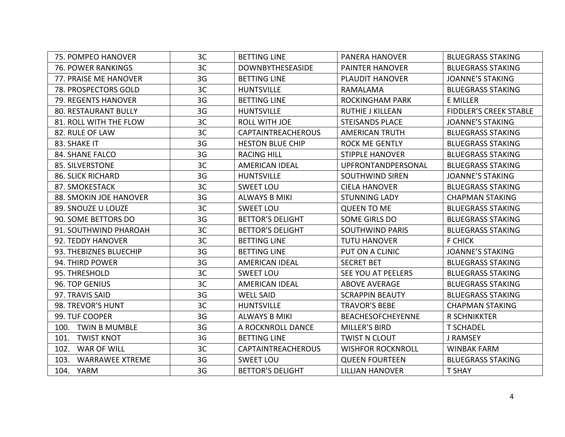| 75. POMPEO HANOVER             | 3C | <b>BETTING LINE</b>       | <b>PANERA HANOVER</b>    | <b>BLUEGRASS STAKING</b> |
|--------------------------------|----|---------------------------|--------------------------|--------------------------|
| <b>76. POWER RANKINGS</b>      | 3C | <b>DOWNBYTHESEASIDE</b>   | <b>PAINTER HANOVER</b>   | <b>BLUEGRASS STAKING</b> |
| 77. PRAISE ME HANOVER          | 3G | <b>BETTING LINE</b>       | <b>PLAUDIT HANOVER</b>   | <b>JOANNE'S STAKING</b>  |
| 78. PROSPECTORS GOLD           | 3C | <b>HUNTSVILLE</b>         | RAMALAMA                 | <b>BLUEGRASS STAKING</b> |
| 79. REGENTS HANOVER            | 3G | <b>BETTING LINE</b>       | <b>ROCKINGHAM PARK</b>   | <b>E MILLER</b>          |
| <b>80. RESTAURANT BULLY</b>    | 3G | <b>HUNTSVILLE</b>         | <b>RUTHIE J KILLEAN</b>  | FIDDLER'S CREEK STABLE   |
| 81. ROLL WITH THE FLOW         | 3C | <b>ROLL WITH JOE</b>      | <b>STEISANDS PLACE</b>   | <b>JOANNE'S STAKING</b>  |
| 82. RULE OF LAW                | 3C | <b>CAPTAINTREACHEROUS</b> | <b>AMERICAN TRUTH</b>    | <b>BLUEGRASS STAKING</b> |
| 83. SHAKE IT                   | 3G | <b>HESTON BLUE CHIP</b>   | <b>ROCK ME GENTLY</b>    | <b>BLUEGRASS STAKING</b> |
| 84. SHANE FALCO                | 3G | <b>RACING HILL</b>        | <b>STIPPLE HANOVER</b>   | <b>BLUEGRASS STAKING</b> |
| 85. SILVERSTONE                | 3C | <b>AMERICAN IDEAL</b>     | UPFRONTANDPERSONAL       | <b>BLUEGRASS STAKING</b> |
| <b>86. SLICK RICHARD</b>       | 3G | <b>HUNTSVILLE</b>         | <b>SOUTHWIND SIREN</b>   | <b>JOANNE'S STAKING</b>  |
| 87. SMOKESTACK                 | 3C | <b>SWEET LOU</b>          | <b>CIELA HANOVER</b>     | <b>BLUEGRASS STAKING</b> |
| <b>88. SMOKIN JOE HANOVER</b>  | 3G | <b>ALWAYS B MIKI</b>      | <b>STUNNING LADY</b>     | <b>CHAPMAN STAKING</b>   |
| 89. SNOUZE U LOUZE             | 3C | <b>SWEET LOU</b>          | <b>QUEEN TO ME</b>       | <b>BLUEGRASS STAKING</b> |
| 90. SOME BETTORS DO            | 3G | <b>BETTOR'S DELIGHT</b>   | <b>SOME GIRLS DO</b>     | <b>BLUEGRASS STAKING</b> |
| 91. SOUTHWIND PHAROAH          | 3C | <b>BETTOR'S DELIGHT</b>   | <b>SOUTHWIND PARIS</b>   | <b>BLUEGRASS STAKING</b> |
| 92. TEDDY HANOVER              | 3C | <b>BETTING LINE</b>       | <b>TUTU HANOVER</b>      | <b>F CHICK</b>           |
| 93. THEBIZNES BLUECHIP         | 3G | <b>BETTING LINE</b>       | PUT ON A CLINIC          | <b>JOANNE'S STAKING</b>  |
| 94. THIRD POWER                | 3G | <b>AMERICAN IDEAL</b>     | <b>SECRET BET</b>        | <b>BLUEGRASS STAKING</b> |
| 95. THRESHOLD                  | 3C | <b>SWEET LOU</b>          | SEE YOU AT PEELERS       | <b>BLUEGRASS STAKING</b> |
| 96. TOP GENIUS                 | 3C | <b>AMERICAN IDEAL</b>     | <b>ABOVE AVERAGE</b>     | <b>BLUEGRASS STAKING</b> |
| 97. TRAVIS SAID                | 3G | <b>WELL SAID</b>          | <b>SCRAPPIN BEAUTY</b>   | <b>BLUEGRASS STAKING</b> |
| 98. TREVOR'S HUNT              | 3C | <b>HUNTSVILLE</b>         | <b>TRAVOR'S BEBE</b>     | <b>CHAPMAN STAKING</b>   |
| 99. TUF COOPER                 | 3G | <b>ALWAYS B MIKI</b>      | <b>BEACHESOFCHEYENNE</b> | <b>R SCHNIKKTER</b>      |
| 100. TWIN B MUMBLE             | 3G | A ROCKNROLL DANCE         | MILLER'S BIRD            | <b>T SCHADEL</b>         |
| 101. TWIST KNOT                | 3G | <b>BETTING LINE</b>       | <b>TWIST N CLOUT</b>     | J RAMSEY                 |
| 102. WAR OF WILL               | 3C | <b>CAPTAINTREACHEROUS</b> | <b>WISHFOR ROCKNROLL</b> | <b>WINBAK FARM</b>       |
| 103.<br><b>WARRAWEE XTREME</b> | 3G | <b>SWEET LOU</b>          | <b>QUEEN FOURTEEN</b>    | <b>BLUEGRASS STAKING</b> |
| 104. YARM                      | 3G | <b>BETTOR'S DELIGHT</b>   | <b>LILLIAN HANOVER</b>   | <b>T SHAY</b>            |